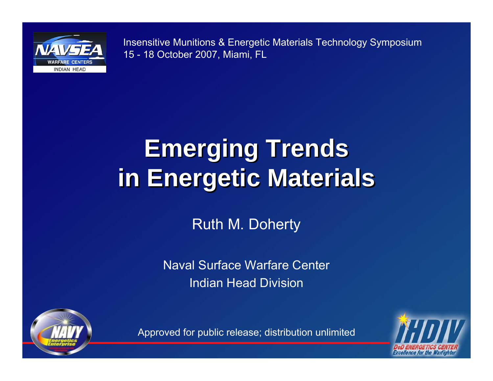

Insensitive Munitions & Energetic Materials Technology Symposium 15 - 18 October 2007, Miami, FL

#### **Emerging Trends Emerging Trends in Energetic Materials in Energetic Materials**

Ruth M. Doherty

Naval Surface Warfare CenterIndian Head Division



**Excellence for the Warf** 

Approved for public release; distribution unlimited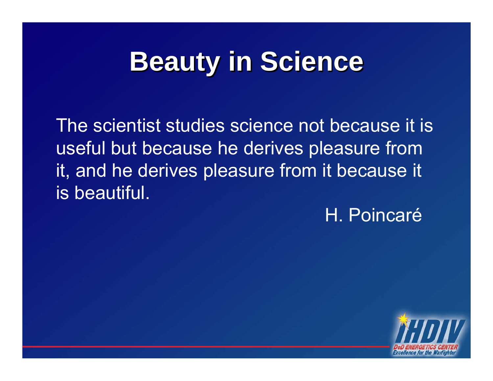## **Beauty in Science Beauty in Science**

The scientist studies science not because it is useful but because he derives pleasure from it, and he derives pleasure from it because it is beautiful.

H. Poincaré

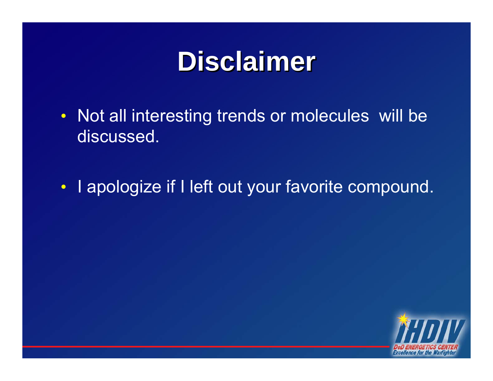#### **Disclaimer Disclaimer**

- Not all interesting trends or molecules will be discussed.
- I apologize if I left out your favorite compound.

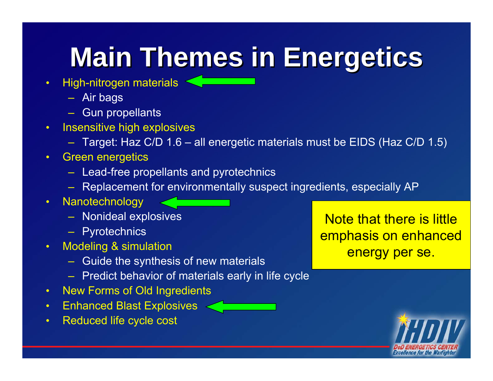## **Main Themes in Energetics Main Themes in Energetics**

- High-nitrogen materials
	- Air bags
	- Gun propellants
- Insensitive high explosives
	- Target: Haz C/D 1.6 all energetic materials must be EIDS (Haz C/D 1.5)
- Green energetics
	- Lead-free propellants and pyrotechnics
	- Replacement for environmentally suspect ingredients, especially AP
- Nanotechnology
	- Nonideal explosives
	- Pyrotechnics
- Modeling & simulation
	- Guide the synthesis of new materials
	- Predict behavior of materials early in life cycle
- New Forms of Old Ingredients
- Enhanced Blast Explosives
- Reduced life cycle cost

Note that there is little emphasis on enhanced energy per se.

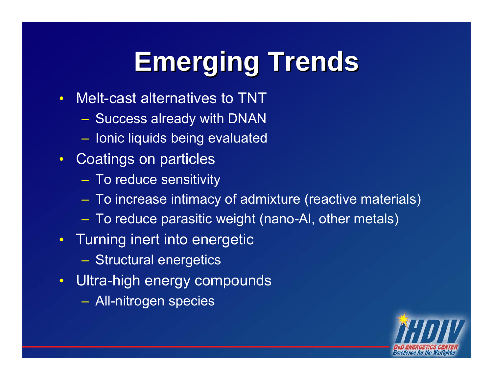## **Emerging Trends Emerging Trends**

- Melt-cast alternatives to TNT
	- Success already with DNAN
	- $-$  Ionic liquids being evaluated
- Coatings on particles
	- To reduce sensitivity
	- To increase intimacy of admixture (reactive materials)
	- To reduce parasitic weight (nano-Al, other metals)
- Turning inert into energetic
	- Structural energetics
- Ultra-high energy compounds
	- All-nitrogen species

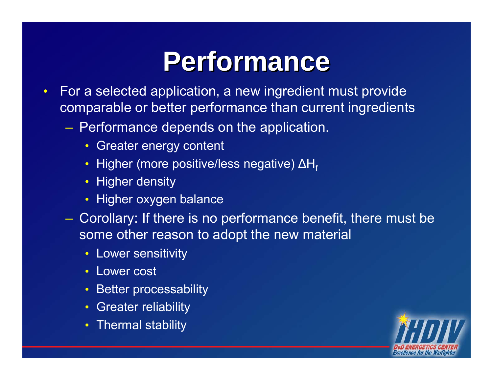#### **Performance Performance**

- For a selected application, a new ingredient must provide comparable or better performance than current ingredients
	- $\mathcal{L}_{\mathcal{A}}$  , and the set of the set of the set of the set of the set of the set of the set of the set of the set of the set of the set of the set of the set of the set of the set of the set of the set of the set of th Performance depends on the application.
		- Greater energy content
		- $\bullet\,$  Higher (more positive/less negative) ΔH $_{\rm f}$
		- Higher density
		- Higher oxygen balance
	- $\mathcal{L}_{\mathcal{A}}$  , and the set of the set of the set of the set of the set of the set of the set of the set of the set of the set of the set of the set of the set of the set of the set of the set of the set of the set of th Corollary: If there is no performance benefit, there must be some other reason to adopt the new material
		- Lower sensitivity
		- Lower cost
		- Better processability
		- Greater reliability
		- Thermal stability

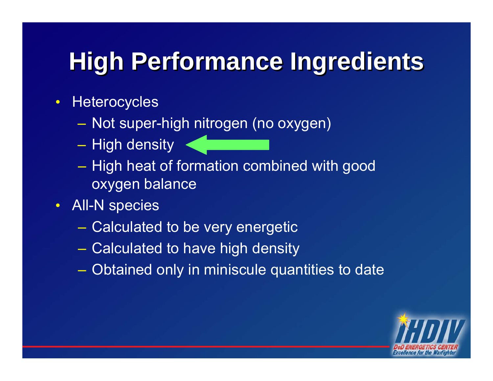#### **High Performance Ingredients High Performance Ingredients**

- Heterocycles
	- $\mathcal{L}_{\mathcal{A}}$  , where  $\mathcal{L}_{\mathcal{A}}$  is the set of the set of the set of the set of the set of the set of the set of the set of the set of the set of the set of the set of the set of the set of the set of the set of the – Not super-high nitrogen (no oxygen)
	- $\mathcal{L}_{\mathcal{A}}$  , where  $\mathcal{L}_{\mathcal{A}}$  is the set of the set of the set of the set of the set of the set of the set of the set of the set of the set of the set of the set of the set of the set of the set of the set of the – High density
	- $\mathcal{L}_{\mathcal{A}}$  , where  $\mathcal{L}_{\mathcal{A}}$  is the set of the set of the set of the set of the set of the set of the set of the set of the set of the set of the set of the set of the set of the set of the set of the set of the – High heat of formation combined with good oxygen balance
- All-N species
	- $\mathcal{L}_{\mathcal{A}}$ Calculated to be very energetic
	- $\mathcal{L}_{\mathcal{A}}$ Calculated to have high density
	- –Obtained only in miniscule quantities to date

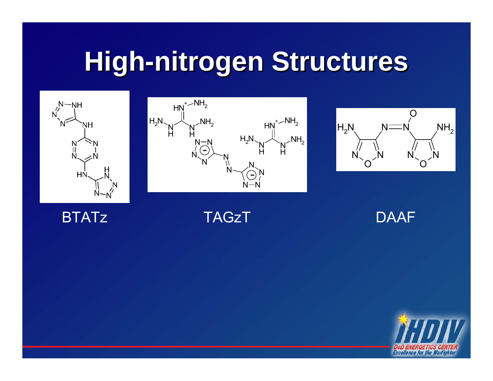### **High-nitrogen Structures High-nitrogen Structures**







#### **BTATz**

**TAGzT** 

DAAF

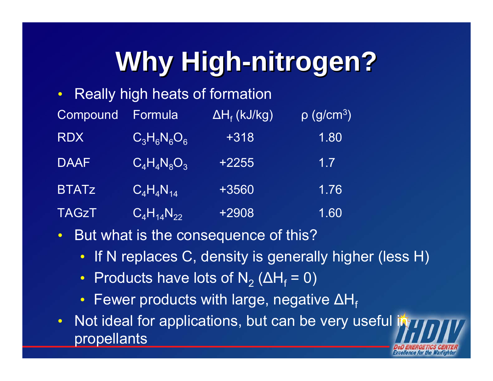## **Why High-nitrogen? Why High-nitrogen?**

• Really high heats of formation

| Compound     | Formula           | $\Delta H_f$ (kJ/kg) | $\overline{\rho\ (g/cm^3)^2}$ |
|--------------|-------------------|----------------------|-------------------------------|
| <b>RDX</b>   | $C_3H_6N_6O_6$    | $+318$               | 1.80                          |
| <b>DAAF</b>  | $C_4H_4N_8O_3$    | $+2255$              | 1.7                           |
| <b>BTATz</b> | $C_4H_4N_{14}$    | +3560                | 1.76                          |
| <b>TAGZT</b> | $C_4H_{14}N_{22}$ | +2908                | 1.60                          |

- But what is the consequence of this?
	- If N replaces C, density is generally higher (less H)
	- Products have lots of  $\mathsf{N}_2$  (ΔH<sub>f</sub> = 0)
	- $\bullet\,$  Fewer products with large, negative ΔH $_{\rm f}$
- Not ideal for applications, but can be very useful in propellants

Excellence for the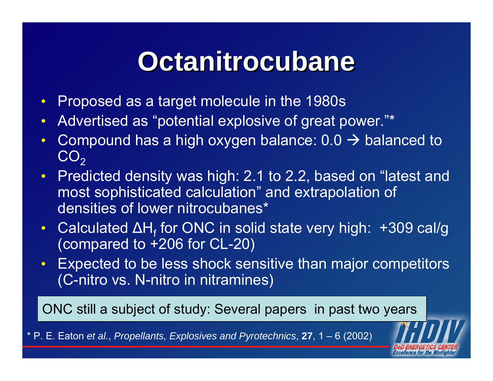#### **Octanitrocubane Octanitrocubane**

- Proposed as a target molecule in the 1980s
- Advertised as "potential explosive of great power."\*
- Compound has a high oxygen balance:  $0.0 \rightarrow$  balanced to  $\mathsf{CO}_2$
- Predicted density was high: 2.1 to 2.2, based on "latest and most sophisticated calculation" and extrapolation of densities of lower nitrocubanes\*
- Calculated ΔH<sub>f</sub> for ONC in solid state very high: +309 cal/g (compared to +206 for CL-20)
- Expected to be less shock sensitive than major competitors (C-nitro vs. N-nitro in nitramines)

ONC still a subject of study: Several papers in past two years

\* P. E. Eaton *et al.*, *Propellants, Explosives and Pyrotechnics*, **27**, 1 – 6 (2002)

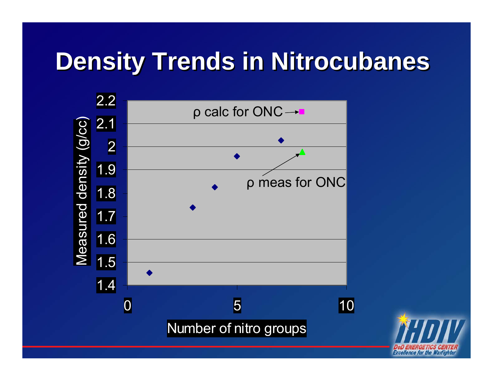#### **Density Trends in Nitrocubanes**



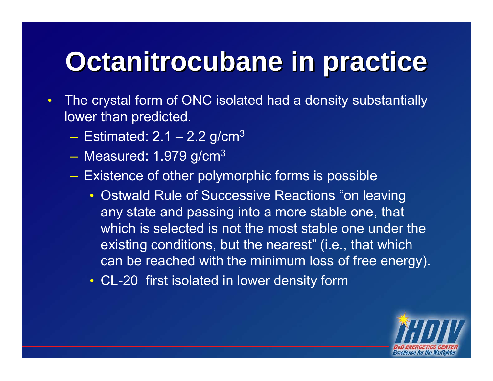## **Octanitrocubane in practice Octanitrocubane in practice**

- The crystal form of ONC isolated had a density substantially lower than predicted.
	- $-$  Estimated: 2.1 2.2 g/cm $^3$
	- $-$  Measured: 1.979 g/cm $^3$
	- Existence of other polymorphic forms is possible
		- Ostwald Rule of Successive Reactions "on leaving any state and passing into a more stable one, that which is selected is not the most stable one under the existing conditions, but the nearest" (i.e., that which can be reached with the minimum loss of free energy).
		- CL-20 first isolated in lower density form

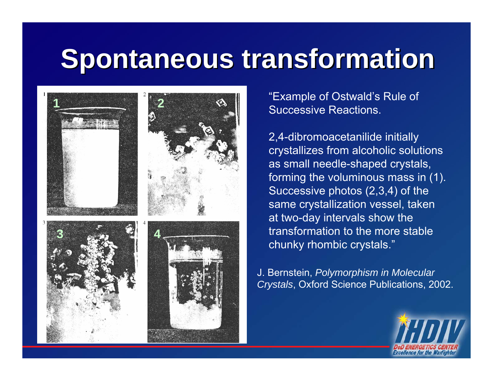## **Spontaneous transformation Spontaneous transformation**



"Example of Ostwald's Rule of Successive Reactions.

2,4-dibromoacetanilide initially crystallizes from alcoholic solutions as small needle-shaped crystals, forming the voluminous mass in (1). Successive photos (2,3,4) of the same crystallization vessel, taken at two-day intervals show the transformation to the more stable chunky rhombic crystals."

J. Bernstein, *Polymorphism in Molecular Crystals*, Oxford Science Publications, 2002.

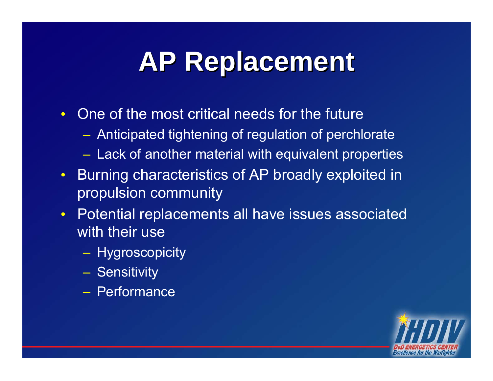## **AP Replacement AP Replacement**

- One of the most critical needs for the future
	- Anticipated tightening of regulation of perchlorate
	- Lack of another material with equivalent properties
- Burning characteristics of AP broadly exploited in propulsion community
- Potential replacements all have issues associated with their use
	- Hygroscopicity
	- Sensitivity
	- Performance

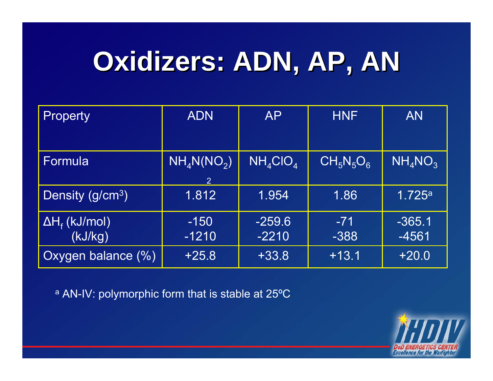## **Oxidizers: ADN, AP, AN Oxidizers: ADN, AP, AN**

| Property              | <b>ADN</b>                                          | <b>AP</b>       | <b>HNF</b>                                   | <b>AN</b>  |
|-----------------------|-----------------------------------------------------|-----------------|----------------------------------------------|------------|
|                       |                                                     |                 |                                              |            |
| Formula               | $\overline{\mathsf{NH}_4\mathsf{N}(\mathsf{NO}_2)}$ | $NH_{4}ClO_{4}$ | $\overline{\text{CH}_5\text{N}_5\text{O}_6}$ | $NH_4NO_3$ |
|                       | $\overline{2}$                                      |                 |                                              |            |
| Density $(g/cm3)$     | 1.812                                               | 1.954           | 1.86                                         | 1.725a     |
| $\Delta H_f$ (kJ/mol) | $-150$                                              | $-259.6$        | $-71$                                        | $-365.1$   |
| (kJ/kg)               | $-1210$                                             | $-2210$         | $-388$                                       | $-4561$    |
| Oxygen balance (%)    | $+25.8$                                             | $+33.8$         | $+13.1$                                      | $+20.0$    |

<sup>a</sup> AN-IV: polymorphic form that is stable at 25°C

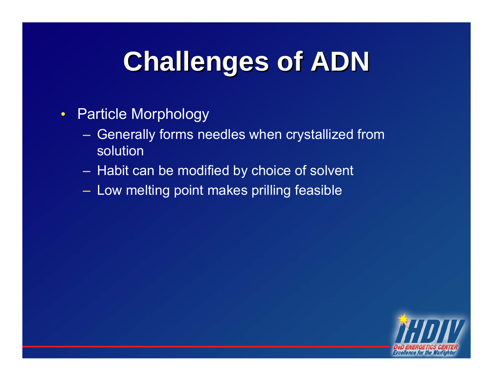## **Challenges of ADN Challenges of ADN**

- Particle Morphology
	- Generally forms needles when crystallized from solution
	- $-$  Habit can be modified by choice of solvent
	- Low melting point makes prilling feasible

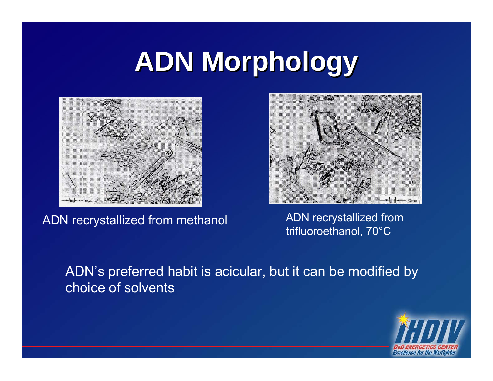## **ADN Morphology ADN Morphology**





ADN recrystallized from methanol ADN recrystallized from trifluoroethanol, 70°C

ADN's preferred habit is acicular, but it can be modified by choice of solvents

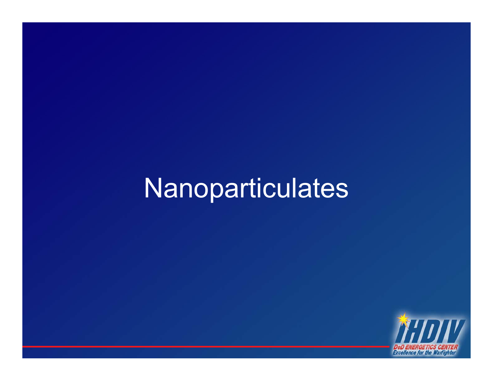#### Nanoparticulates

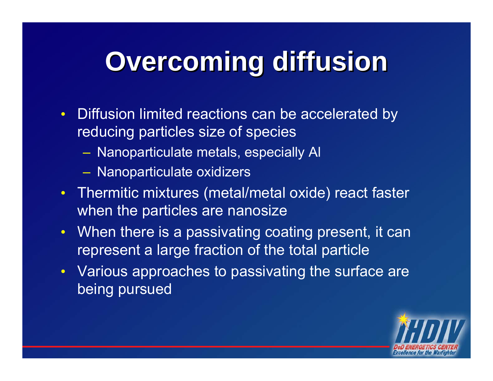## **Overcoming diffusion Overcoming diffusion**

- Diffusion limited reactions can be accelerated by reducing particles size of species
	- Nanoparticulate metals, especially Al
	- Nanoparticulate oxidizers
- Thermitic mixtures (metal/metal oxide) react faster when the particles are nanosize
- When there is a passivating coating present, it can represent a large fraction of the total particle
- Various approaches to passivating the surface are being pursued

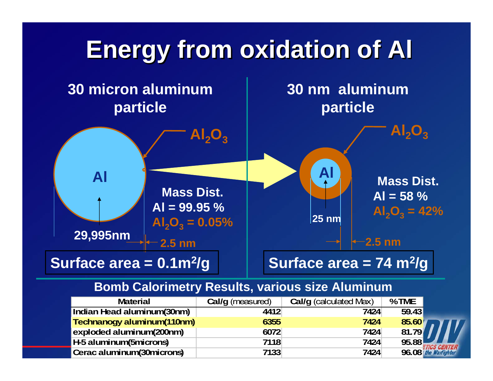

#### **Bomb Calorimetry Results, various size Aluminum**

| <b>Material</b>                   | Cal/g (measured) | Cal/g (calculated Max) | %TME  |                      |
|-----------------------------------|------------------|------------------------|-------|----------------------|
| Indian Head aluminum(30nm)        | 4412             | 7424                   | 59.43 |                      |
| <b>Technanogy aluminum(110nm)</b> | 6355             | 7424                   | 85.60 |                      |
| exploded aluminum(200nm)          | 6072             | 7424                   | 81.79 |                      |
| H-5 aluminum(5microns)            | 7118             | 7424                   | 95.88 |                      |
| Cerac aluminum (30 microns)       | 7133             | 7424                   |       | 96.08 the Warfighter |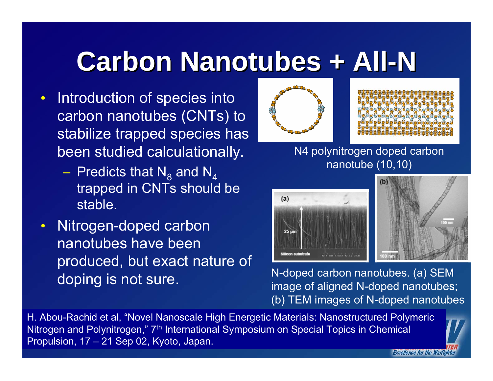#### **Carbon Nanotubes + All-N Carbon Nanotubes + All-N**

- Introduction of species into carbon nanotubes (CNTs) to stabilize trapped species has been studied calculationally.
	- $-$  Predicts that  $\mathsf{N}_8$  and  $\mathsf{N}_4$  trapped in CNTs should be stable.
- Nitrogen-doped carbon nanotubes have been produced, but exact nature of doping is not sure.





*Excellence for the Warfig* 

N4 polynitrogen doped carbon nanotube (10,10)



N-doped carbon nanotubes. (a) SEM image of aligned N-doped nanotubes; (b) TEM images of N-doped nanotubes

H. Abou-Rachid et al, "Novel Nanoscale High Energetic Materials: Nanostructured Polymeric Nitrogen and Polynitrogen," 7<sup>th</sup> International Symposium on Special Topics in Chemical Propulsion, 17 – 21 Sep 02, Kyoto, Japan.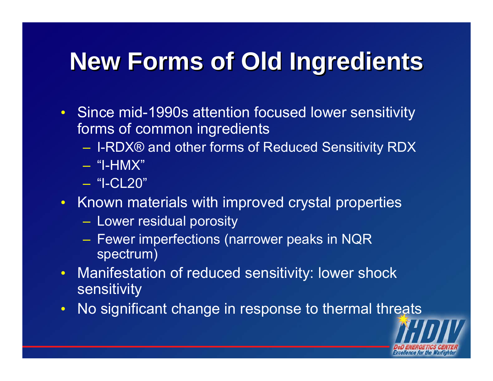#### **New Forms of Old Ingredients New Forms of Old Ingredients**

- Since mid-1990s attention focused lower sensitivity forms of common ingredients
	- I-RDX® and other forms of Reduced Sensitivity RDX
	- "I-HMX"
	- "I-CL20"
- Known materials with improved crystal properties
	- $-$  Lower residual porosity
	- $-$  Fewer imperfections (narrower peaks in NQR  $\,$ spectrum)
- Manifestation of reduced sensitivity: lower shock sensitivity
- No significant change in response to thermal threats

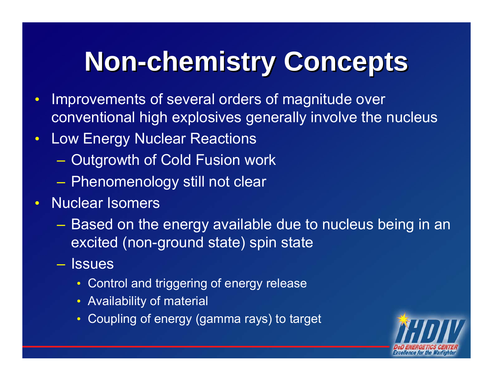## **Non-chemistry Concepts Non-chemistry Concepts**

- Improvements of several orders of magnitude over conventional high explosives generally involve the nucleus
- Low Energy Nuclear Reactions
	- Outgrowth of Cold Fusion work
	- Phenomenology still not clear
- Nuclear Isomers
	- – Based on the energy available due to nucleus being in an excited (non-ground state) spin state
	- Issues
		- Control and triggering of energy release
		- Availability of material
		- Coupling of energy (gamma rays) to target

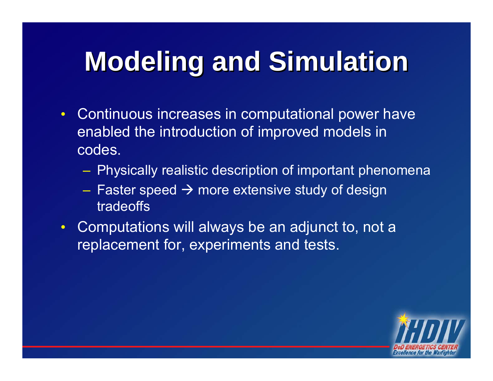## **Modeling and Simulation**

- Continuous increases in computational power have enabled the introduction of improved models in codes.
	- Physically realistic description of important phenomena
	- Faster speed  $\rightarrow$  more extensive study of design tradeoffs
- Computations will always be an adjunct to, not a replacement for, experiments and tests.

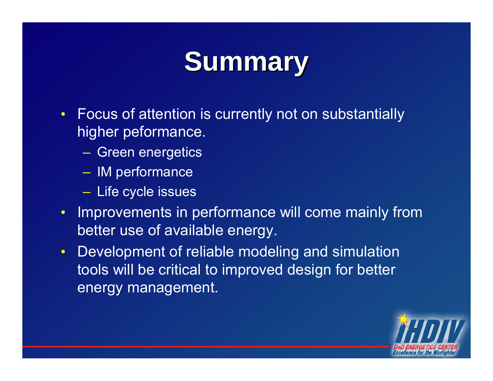## **Summary Summary**

- Focus of attention is currently not on substantially higher peformance.
	- Green energetics
	- IM performance
	- Life cycle issues
- Improvements in performance will come mainly from better use of available energy.
- Development of reliable modeling and simulation tools will be critical to improved design for better energy management.